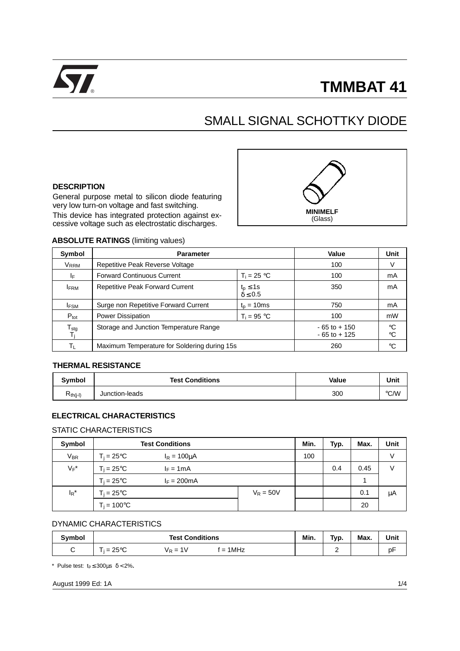

# ® **TMMBAT 41**

# SMALL SIGNAL SCHOTTKY DIODE

### **DESCRIPTION**

General purpose metal to silicon diode featuring very low turn-on voltage and fast switching. This device has integrated protection against excessive voltage such as electrostatic discharges.



#### **ABSOLUTE RATINGS** (limiting values)

| Symbol                                        | <b>Parameter</b>                             | Value                               | <b>Unit</b>                        |                                |
|-----------------------------------------------|----------------------------------------------|-------------------------------------|------------------------------------|--------------------------------|
| V <sub>RRM</sub>                              | Repetitive Peak Reverse Voltage              | 100                                 | V                                  |                                |
| IF.                                           | <b>Forward Continuous Current</b>            | $T_i = 25 °C$                       | 100                                | mA                             |
| <b>IFRM</b>                                   | <b>Repetitive Peak Forward Current</b>       | $t_p \leq 1$ s<br>$\delta \leq 0.5$ | 350                                | mA                             |
| <b>IFSM</b>                                   | Surge non Repetitive Forward Current         | $t_{p}$ = 10ms                      | 750                                | mA                             |
| $P_{\text{tot}}$                              | <b>Power Dissipation</b>                     | $T_i = 95 °C$                       | 100                                | mW                             |
| $\mathsf{T}_{\underline{\mathsf{stg}}}$<br>Ti | Storage and Junction Temperature Range       |                                     | $-65$ to $+150$<br>$-65$ to $+125$ | $^{\circ}C$<br>$\rm ^{\circ}C$ |
| Τı                                            | Maximum Temperature for Soldering during 15s | 260                                 | ∘C                                 |                                |

# **THERMAL RESISTANCE**

| Symbol               | <b>Test Conditions</b> | Value | Unit          |
|----------------------|------------------------|-------|---------------|
| K <sub>th(j-l)</sub> | Junction-leads         | 300   | $\degree$ C/W |

# **ELECTRICAL CHARACTERISTICS**

# STATIC CHARACTERISTICS

| Symbol   | <b>Test Conditions</b>                   | Min.        | Typ. | Max. | Unit |    |
|----------|------------------------------------------|-------------|------|------|------|----|
| $V_{BR}$ | $T_i = 25^{\circ}C$<br>$I_R = 100 \mu A$ |             | 100  |      |      | V  |
| $V_F^*$  | $T_i = 25^{\circ}C$<br>$I_F = 1mA$       |             |      |      | 0.45 | V  |
|          | $T_i = 25^{\circ}C$<br>$I_F = 200mA$     |             |      |      |      |    |
| $I_R^*$  | $T_i = 25^{\circ}C$                      | $V_R = 50V$ |      |      | 0.1  | μA |
|          | $T_i = 100^{\circ}C$                     |             |      |      | 20   |    |

# DYNAMIC CHARACTERISTICS

| Svmbol | <b>Test Conditions</b>                       | Min. | Tvp. | Max. | Unit |
|--------|----------------------------------------------|------|------|------|------|
| ⌒<br>ັ | $-250C$<br>$= 1$ MHz<br>$V_R = 1V$<br>ె 25°C |      | -    |      | рŀ   |

\* Pulse test: tp ≤ 300µs δ < 2%**.**

August 1999 Ed: 1A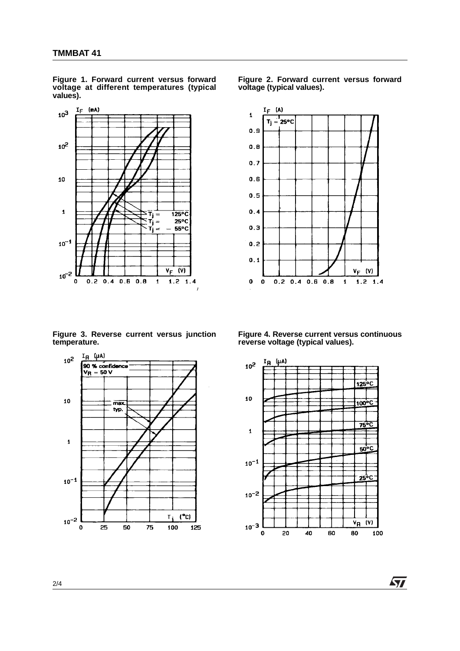

**Figure 1. Forward current versus forward voltage at different temperatures (typical values).**

**Figure 3. Reverse current versus junction temperature.**



**Figure 2. Forward current versus forward voltage (typical values).**



**Figure 4. Reverse current versus continuous reverse voltage (typical values).**



57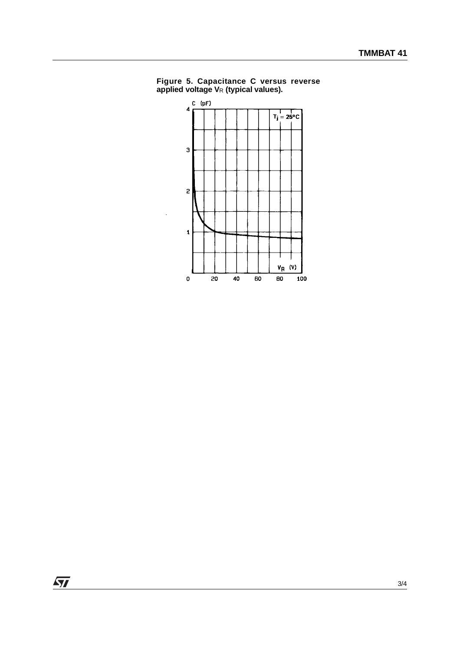

**Figure 5. Capacitance C versus reverse applied voltage V**R **(typical values).**